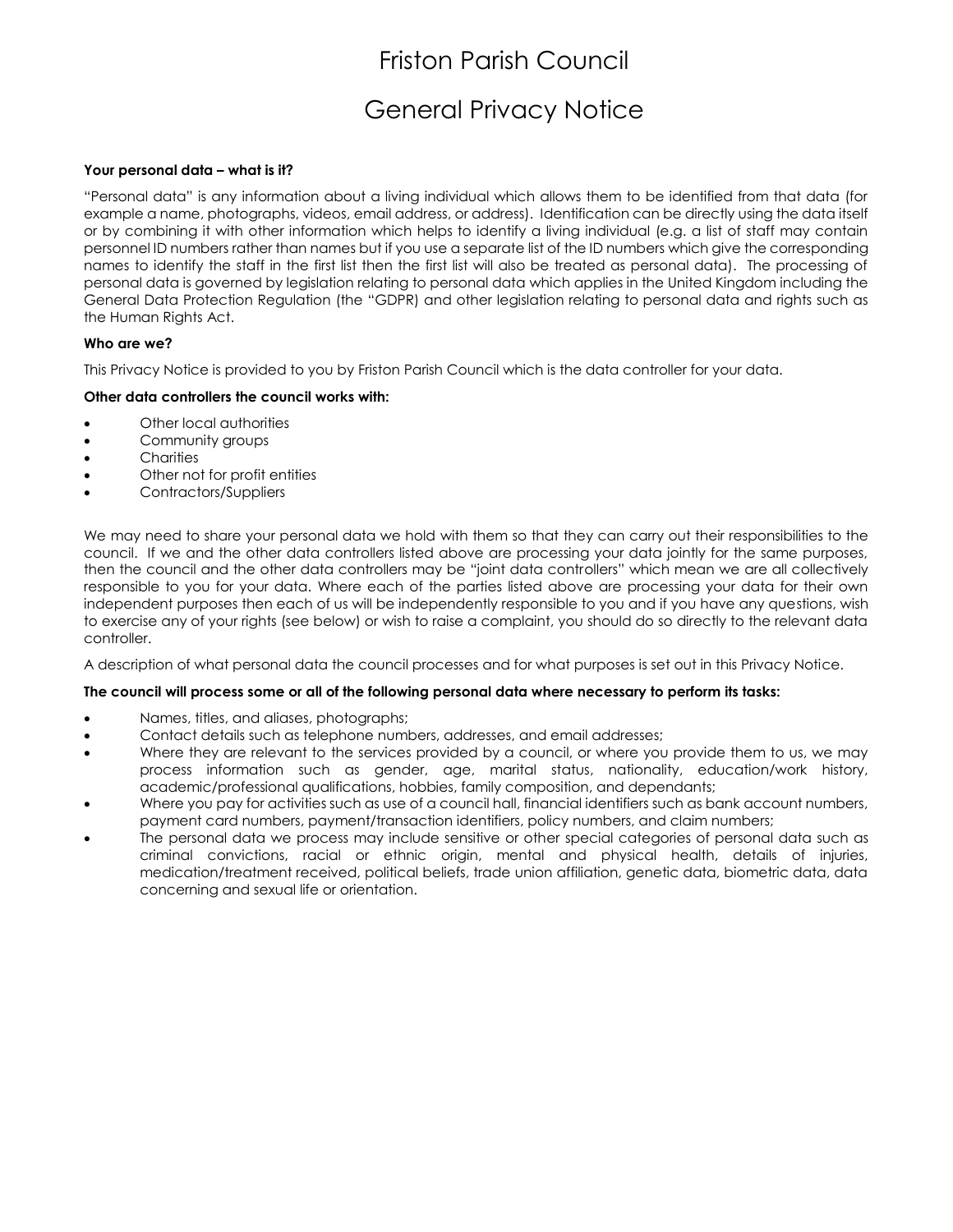## General Privacy Notice

#### **Your personal data – what is it?**

"Personal data" is any information about a living individual which allows them to be identified from that data (for example a name, photographs, videos, email address, or address). Identification can be directly using the data itself or by combining it with other information which helps to identify a living individual (e.g. a list of staff may contain personnel ID numbers rather than names but if you use a separate list of the ID numbers which give the corresponding names to identify the staff in the first list then the first list will also be treated as personal data). The processing of personal data is governed by legislation relating to personal data which applies in the United Kingdom including the General Data Protection Regulation (the "GDPR) and other legislation relating to personal data and rights such as the Human Rights Act.

## **Who are we?**

This Privacy Notice is provided to you by Friston Parish Council which is the data controller for your data.

## **Other data controllers the council works with:**

- Other local authorities
- Community groups
- Charities
- Other not for profit entities
- Contractors/Suppliers

We may need to share your personal data we hold with them so that they can carry out their responsibilities to the council. If we and the other data controllers listed above are processing your data jointly for the same purposes, then the council and the other data controllers may be "joint data controllers" which mean we are all collectively responsible to you for your data. Where each of the parties listed above are processing your data for their own independent purposes then each of us will be independently responsible to you and if you have any questions, wish to exercise any of your rights (see below) or wish to raise a complaint, you should do so directly to the relevant data controller.

A description of what personal data the council processes and for what purposes is set out in this Privacy Notice.

#### **The council will process some or all of the following personal data where necessary to perform its tasks:**

- Names, titles, and aliases, photographs;
- Contact details such as telephone numbers, addresses, and email addresses;
- Where they are relevant to the services provided by a council, or where you provide them to us, we may process information such as gender, age, marital status, nationality, education/work history, academic/professional qualifications, hobbies, family composition, and dependants;
- Where you pay for activities such as use of a council hall, financial identifiers such as bank account numbers, payment card numbers, payment/transaction identifiers, policy numbers, and claim numbers;
- The personal data we process may include sensitive or other special categories of personal data such as criminal convictions, racial or ethnic origin, mental and physical health, details of injuries, medication/treatment received, political beliefs, trade union affiliation, genetic data, biometric data, data concerning and sexual life or orientation.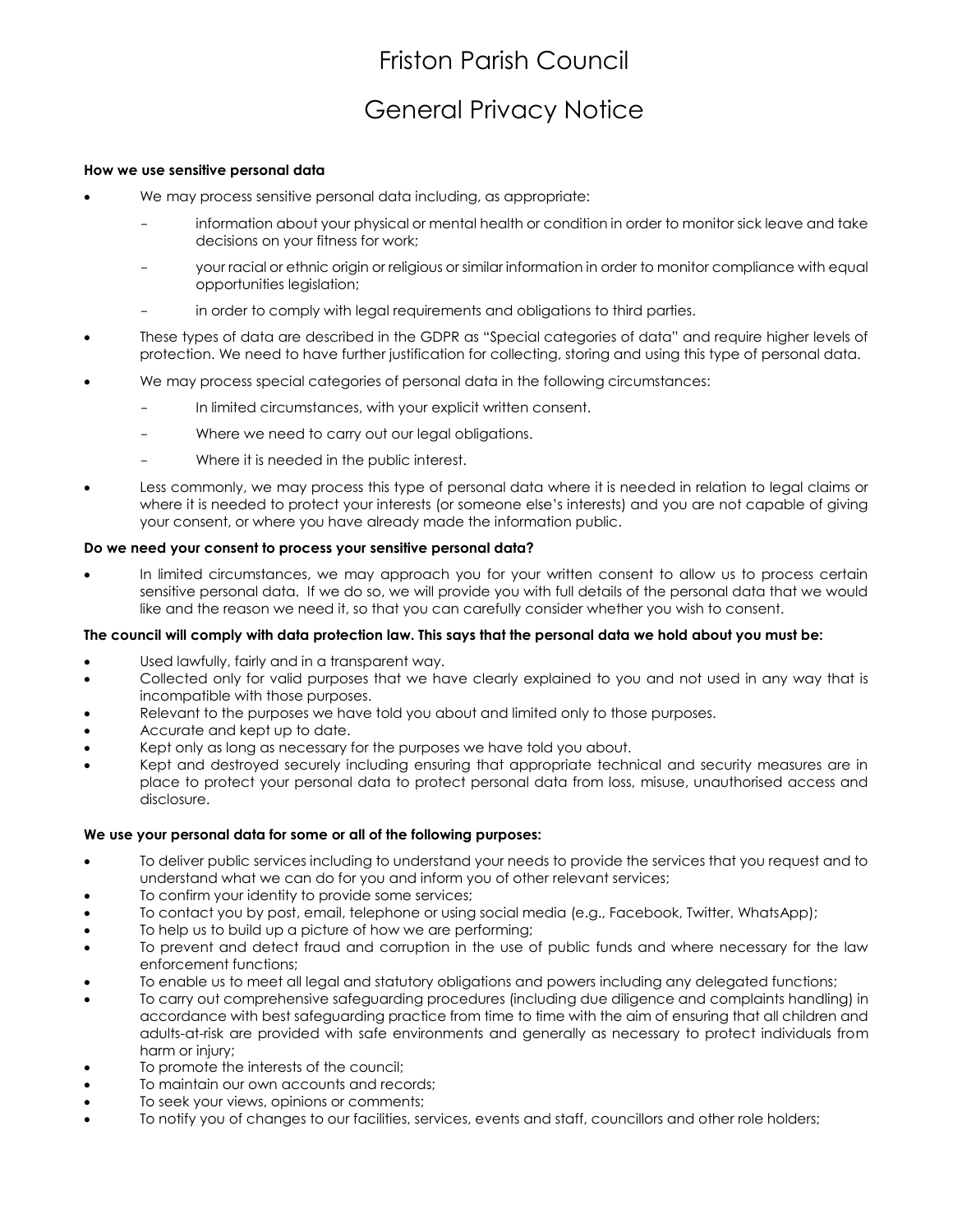## General Privacy Notice

#### **How we use sensitive personal data**

- We may process sensitive personal data including, as appropriate:
	- information about your physical or mental health or condition in order to monitor sick leave and take decisions on your fitness for work;
	- your racial or ethnic origin or religious or similar information in order to monitor compliance with equal opportunities legislation;
	- in order to comply with legal requirements and obligations to third parties.
- These types of data are described in the GDPR as "Special categories of data" and require higher levels of protection. We need to have further justification for collecting, storing and using this type of personal data.
- We may process special categories of personal data in the following circumstances:
	- In limited circumstances, with your explicit written consent.
	- Where we need to carry out our legal obligations.
	- Where it is needed in the public interest.
- Less commonly, we may process this type of personal data where it is needed in relation to legal claims or where it is needed to protect your interests (or someone else's interests) and you are not capable of giving your consent, or where you have already made the information public.

#### **Do we need your consent to process your sensitive personal data?**

 In limited circumstances, we may approach you for your written consent to allow us to process certain sensitive personal data. If we do so, we will provide you with full details of the personal data that we would like and the reason we need it, so that you can carefully consider whether you wish to consent.

#### **The council will comply with data protection law. This says that the personal data we hold about you must be:**

- Used lawfully, fairly and in a transparent way.
- Collected only for valid purposes that we have clearly explained to you and not used in any way that is incompatible with those purposes.
- Relevant to the purposes we have told you about and limited only to those purposes.
- Accurate and kept up to date.
- Kept only as long as necessary for the purposes we have told you about.
- Kept and destroyed securely including ensuring that appropriate technical and security measures are in place to protect your personal data to protect personal data from loss, misuse, unauthorised access and disclosure.

#### **We use your personal data for some or all of the following purposes:**

- To deliver public services including to understand your needs to provide the services that you request and to understand what we can do for you and inform you of other relevant services;
- To confirm your identity to provide some services;
- To contact you by post, email, telephone or using social media (e.g., Facebook, Twitter, WhatsApp);
- To help us to build up a picture of how we are performing;
- To prevent and detect fraud and corruption in the use of public funds and where necessary for the law enforcement functions;
- To enable us to meet all legal and statutory obligations and powers including any delegated functions;
- To carry out comprehensive safeguarding procedures (including due diligence and complaints handling) in accordance with best safeguarding practice from time to time with the aim of ensuring that all children and adults-at-risk are provided with safe environments and generally as necessary to protect individuals from harm or injury;
- To promote the interests of the council;
- To maintain our own accounts and records;
- To seek your views, opinions or comments;
- To notify you of changes to our facilities, services, events and staff, councillors and other role holders;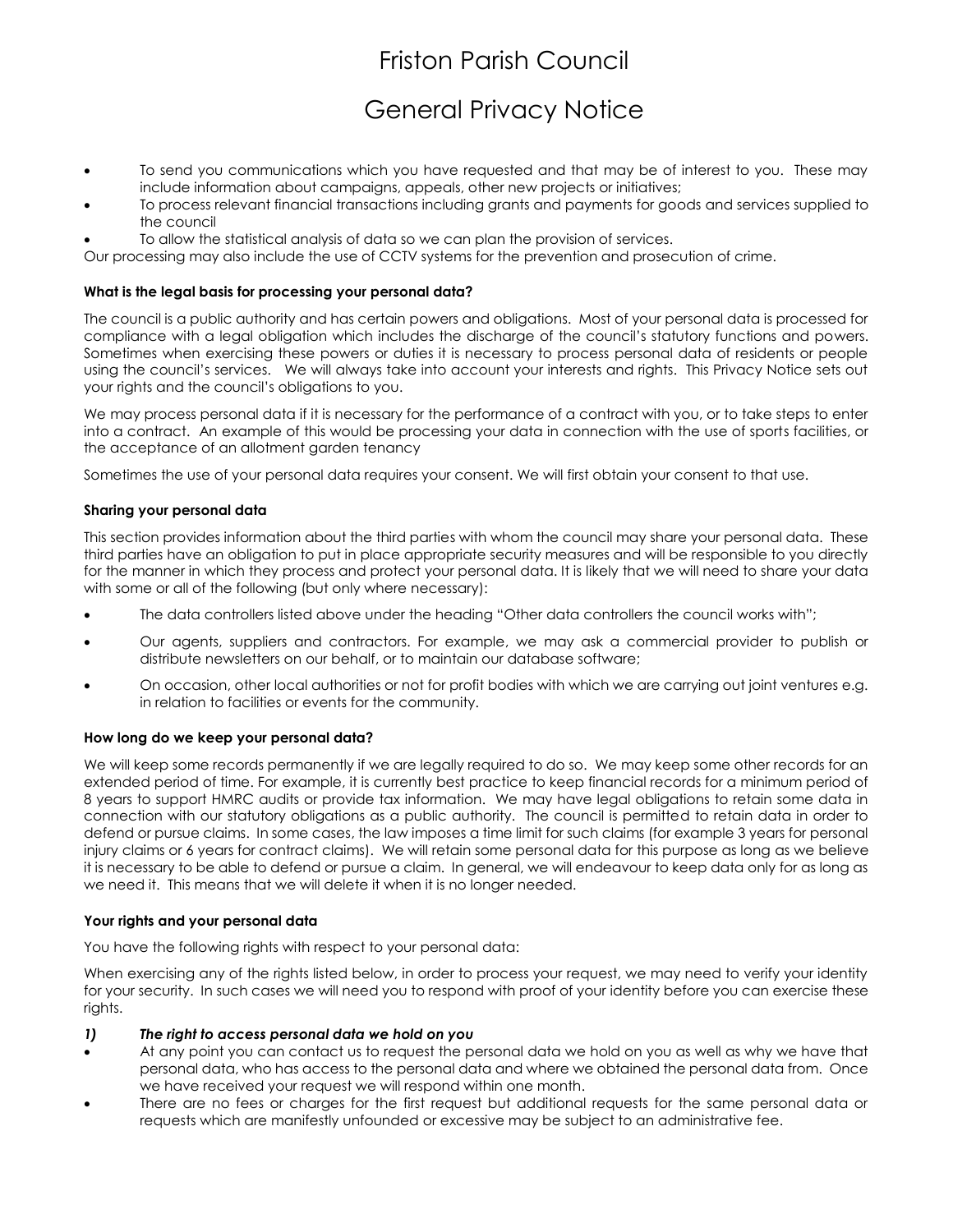## General Privacy Notice

- To send you communications which you have requested and that may be of interest to you. These may include information about campaigns, appeals, other new projects or initiatives;
- To process relevant financial transactions including grants and payments for goods and services supplied to the council
- To allow the statistical analysis of data so we can plan the provision of services.

Our processing may also include the use of CCTV systems for the prevention and prosecution of crime.

## **What is the legal basis for processing your personal data?**

The council is a public authority and has certain powers and obligations. Most of your personal data is processed for compliance with a legal obligation which includes the discharge of the council's statutory functions and powers. Sometimes when exercising these powers or duties it is necessary to process personal data of residents or people using the council's services. We will always take into account your interests and rights. This Privacy Notice sets out your rights and the council's obligations to you.

We may process personal data if it is necessary for the performance of a contract with you, or to take steps to enter into a contract. An example of this would be processing your data in connection with the use of sports facilities, or the acceptance of an allotment garden tenancy

Sometimes the use of your personal data requires your consent. We will first obtain your consent to that use.

## **Sharing your personal data**

This section provides information about the third parties with whom the council may share your personal data. These third parties have an obligation to put in place appropriate security measures and will be responsible to you directly for the manner in which they process and protect your personal data. It is likely that we will need to share your data with some or all of the following (but only where necessary):

- The data controllers listed above under the heading "Other data controllers the council works with";
- Our agents, suppliers and contractors. For example, we may ask a commercial provider to publish or distribute newsletters on our behalf, or to maintain our database software;
- On occasion, other local authorities or not for profit bodies with which we are carrying out joint ventures e.g. in relation to facilities or events for the community.

#### **How long do we keep your personal data?**

We will keep some records permanently if we are legally required to do so. We may keep some other records for an extended period of time. For example, it is currently best practice to keep financial records for a minimum period of 8 years to support HMRC audits or provide tax information. We may have legal obligations to retain some data in connection with our statutory obligations as a public authority. The council is permitted to retain data in order to defend or pursue claims. In some cases, the law imposes a time limit for such claims (for example 3 years for personal injury claims or 6 years for contract claims). We will retain some personal data for this purpose as long as we believe it is necessary to be able to defend or pursue a claim. In general, we will endeavour to keep data only for as long as we need it. This means that we will delete it when it is no longer needed.

#### **Your rights and your personal data**

You have the following rights with respect to your personal data:

When exercising any of the rights listed below, in order to process your request, we may need to verify your identity for your security. In such cases we will need you to respond with proof of your identity before you can exercise these rights.

#### *1) The right to access personal data we hold on you*

- At any point you can contact us to request the personal data we hold on you as well as why we have that personal data, who has access to the personal data and where we obtained the personal data from. Once we have received your request we will respond within one month.
- There are no fees or charges for the first request but additional requests for the same personal data or requests which are manifestly unfounded or excessive may be subject to an administrative fee.